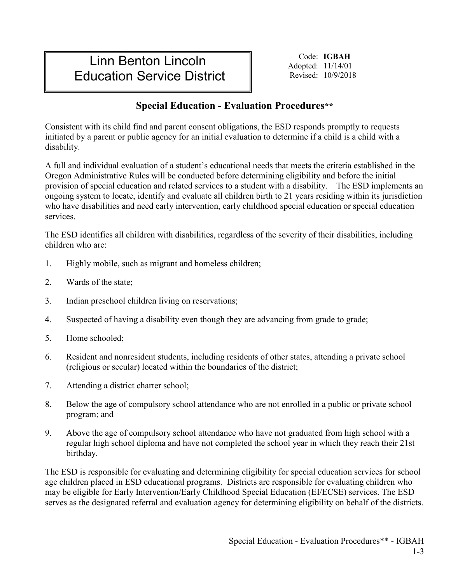## Linn Benton Lincoln Education Service District

Code: **IGBAH** Adopted: 11/14/01 Revised: 10/9/2018

## **Special Education - Evaluation Procedures\*\***

Consistent with its child find and parent consent obligations, the ESD responds promptly to requests initiated by a parent or public agency for an initial evaluation to determine if a child is a child with a disability.

A full and individual evaluation of a student's educational needs that meets the criteria established in the Oregon Administrative Rules will be conducted before determining eligibility and before the initial provision of special education and related services to a student with a disability. The ESD implements an ongoing system to locate, identify and evaluate all children birth to 21 years residing within its jurisdiction who have disabilities and need early intervention, early childhood special education or special education services.

The ESD identifies all children with disabilities, regardless of the severity of their disabilities, including children who are:

- 1. Highly mobile, such as migrant and homeless children;
- 2. Wards of the state;
- 3. Indian preschool children living on reservations;
- 4. Suspected of having a disability even though they are advancing from grade to grade;
- 5. Home schooled;
- 6. Resident and nonresident students, including residents of other states, attending a private school (religious or secular) located within the boundaries of the district;
- 7. Attending a district charter school;
- 8. Below the age of compulsory school attendance who are not enrolled in a public or private school program; and
- 9. Above the age of compulsory school attendance who have not graduated from high school with a regular high school diploma and have not completed the school year in which they reach their 21st birthday.

The ESD is responsible for evaluating and determining eligibility for special education services for school age children placed in ESD educational programs. Districts are responsible for evaluating children who may be eligible for Early Intervention/Early Childhood Special Education (EI/ECSE) services. The ESD serves as the designated referral and evaluation agency for determining eligibility on behalf of the districts.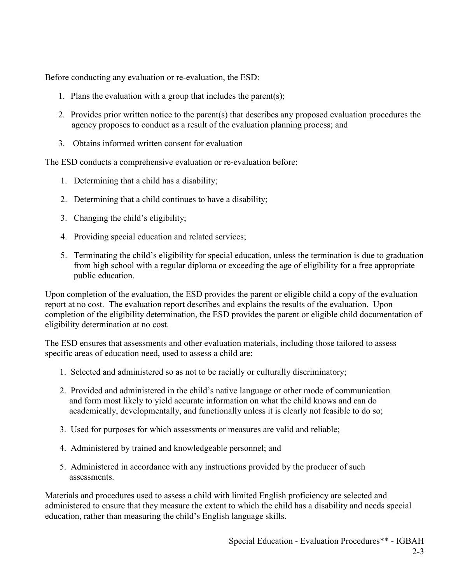Before conducting any evaluation or re-evaluation, the ESD:

- 1. Plans the evaluation with a group that includes the parent(s);
- 2. Provides prior written notice to the parent(s) that describes any proposed evaluation procedures the agency proposes to conduct as a result of the evaluation planning process; and
- 3. Obtains informed written consent for evaluation

The ESD conducts a comprehensive evaluation or re-evaluation before:

- 1. Determining that a child has a disability;
- 2. Determining that a child continues to have a disability;
- 3. Changing the child's eligibility;
- 4. Providing special education and related services;
- 5. Terminating the child's eligibility for special education, unless the termination is due to graduation from high school with a regular diploma or exceeding the age of eligibility for a free appropriate public education.

Upon completion of the evaluation, the ESD provides the parent or eligible child a copy of the evaluation report at no cost. The evaluation report describes and explains the results of the evaluation. Upon completion of the eligibility determination, the ESD provides the parent or eligible child documentation of eligibility determination at no cost.

The ESD ensures that assessments and other evaluation materials, including those tailored to assess specific areas of education need, used to assess a child are:

- 1. Selected and administered so as not to be racially or culturally discriminatory;
- 2. Provided and administered in the child's native language or other mode of communication and form most likely to yield accurate information on what the child knows and can do academically, developmentally, and functionally unless it is clearly not feasible to do so;
- 3. Used for purposes for which assessments or measures are valid and reliable;
- 4. Administered by trained and knowledgeable personnel; and
- 5. Administered in accordance with any instructions provided by the producer of such assessments.

Materials and procedures used to assess a child with limited English proficiency are selected and administered to ensure that they measure the extent to which the child has a disability and needs special education, rather than measuring the child's English language skills.